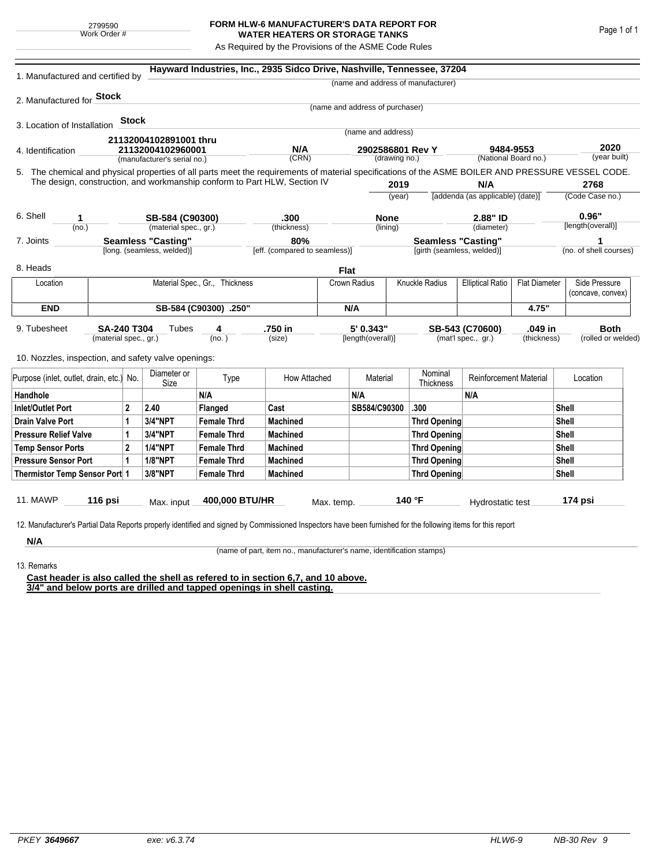## **FORM HLW-6 MANUFACTURER'S DATA REPORT FOR WATER HEATERS OR STORAGE TANKS**

As Required by the Provisions of the ASME Code Rules

| 1. Manufactured and certified by                                                                                                                                                                                                                                    |                                |                |                                          |                       | Hayward Industries, Inc., 2935 Sidco Drive, Nashville, Tennessee, 37204 |              |                                 |                                   |                                    |                                                 |       |                            |                                    |
|---------------------------------------------------------------------------------------------------------------------------------------------------------------------------------------------------------------------------------------------------------------------|--------------------------------|----------------|------------------------------------------|-----------------------|-------------------------------------------------------------------------|--------------|---------------------------------|-----------------------------------|------------------------------------|-------------------------------------------------|-------|----------------------------|------------------------------------|
|                                                                                                                                                                                                                                                                     |                                |                |                                          |                       |                                                                         |              |                                 |                                   | (name and address of manufacturer) |                                                 |       |                            |                                    |
| 2. Manufactured for Stock                                                                                                                                                                                                                                           |                                |                |                                          |                       |                                                                         |              |                                 |                                   |                                    |                                                 |       |                            |                                    |
|                                                                                                                                                                                                                                                                     |                                |                |                                          |                       |                                                                         |              | (name and address of purchaser) |                                   |                                    |                                                 |       |                            |                                    |
| 3. Location of Installation                                                                                                                                                                                                                                         |                                | Stock          |                                          |                       |                                                                         |              |                                 |                                   |                                    |                                                 |       |                            |                                    |
|                                                                                                                                                                                                                                                                     |                                |                | 21132004102891001 thru                   |                       |                                                                         |              | (name and address)              |                                   |                                    |                                                 |       |                            |                                    |
| 4. Identification                                                                                                                                                                                                                                                   |                                |                |                                          | 21132004102960001     |                                                                         | N/A<br>(CRN) |                                 | 2902586801 Rev Y<br>(drawing no.) |                                    | 9484-9553<br>(National Board no.)               |       | 2020<br>(year built)       |                                    |
| 5. The chemical and physical properties of all parts meet the requirements of material specifications of the ASME BOILER AND PRESSURE VESSEL CODE.                                                                                                                  |                                |                | (manufacturer's serial no.)              |                       |                                                                         |              |                                 |                                   |                                    |                                                 |       |                            |                                    |
| The design, construction, and workmanship conform to Part HLW, Section IV                                                                                                                                                                                           |                                |                |                                          |                       |                                                                         |              |                                 | 2019                              |                                    | N/A                                             |       |                            | 2768                               |
|                                                                                                                                                                                                                                                                     |                                |                |                                          |                       |                                                                         |              | (year)                          |                                   |                                    | [addenda (as applicable) (date)]                |       | (Code Case no.)            |                                    |
|                                                                                                                                                                                                                                                                     |                                |                |                                          |                       |                                                                         |              |                                 |                                   |                                    |                                                 |       |                            |                                    |
| 6. Shell<br>1<br>(no.)                                                                                                                                                                                                                                              |                                |                | SB-584 (C90300)<br>(material spec., gr.) |                       | .300<br>(thickness)                                                     |              | <b>None</b><br>(lining)         |                                   |                                    | 2.88" ID<br>(diameter)                          |       | 0.96"<br>[length(overall)] |                                    |
| 7. Joints                                                                                                                                                                                                                                                           |                                |                | <b>Seamless "Casting"</b>                |                       | 80%                                                                     |              |                                 |                                   | <b>Seamless "Casting"</b>          |                                                 |       |                            | 1                                  |
|                                                                                                                                                                                                                                                                     |                                |                | [long. (seamless, welded)]               |                       | [eff. (compared to seamless)]                                           |              |                                 |                                   |                                    | [girth (seamless, welded)]                      |       |                            | (no. of shell courses)             |
| 8. Heads                                                                                                                                                                                                                                                            |                                |                |                                          |                       |                                                                         | <b>Flat</b>  |                                 |                                   |                                    |                                                 |       |                            |                                    |
| Location                                                                                                                                                                                                                                                            | Material Spec., Gr., Thickness |                |                                          |                       |                                                                         |              | Knuckle Radius<br>Crown Radius  |                                   |                                    | <b>Elliptical Ratio</b><br><b>Flat Diameter</b> |       |                            | Side Pressure<br>(concave, convex) |
| <b>END</b>                                                                                                                                                                                                                                                          |                                |                |                                          | SB-584 (C90300) .250" |                                                                         | N/A          |                                 |                                   |                                    |                                                 | 4.75" |                            |                                    |
| 5' 0.343"<br>.750 in<br>.049 in<br>9. Tubesheet<br><b>SA-240 T304</b><br>Tubes<br>SB-543 (C70600)<br>4<br>(mat'l spec., gr.)<br>(material spec., gr.)<br>(no.)<br>(size)<br>[length(overall)]<br>(thickness)<br>10. Nozzles, inspection, and safety valve openings: |                                |                |                                          |                       |                                                                         |              |                                 |                                   |                                    | <b>Both</b><br>(rolled or welded)               |       |                            |                                    |
| Purpose (inlet, outlet, drain, etc.) No.                                                                                                                                                                                                                            |                                |                | Diameter or<br>Size                      | Type                  | How Attached                                                            |              | Material                        |                                   | Nominal<br>Thickness               | <b>Reinforcement Material</b>                   |       |                            | Location                           |
| Handhole                                                                                                                                                                                                                                                            |                                |                |                                          | N/A                   |                                                                         |              | N/A                             |                                   |                                    | N/A                                             |       |                            |                                    |
| $\mathbf{2}$<br>Inlet/Outlet Port                                                                                                                                                                                                                                   |                                |                | 2.40                                     | Flanged               | Cast                                                                    |              | SB584/C90300                    |                                   | .300                               |                                                 |       | Shell                      |                                    |
| Drain Valve Port<br>1                                                                                                                                                                                                                                               |                                |                | <b>3/4"NPT</b>                           | <b>Female Thrd</b>    | <b>Machined</b>                                                         |              |                                 |                                   | Thrd Opening                       |                                                 |       | Shell                      |                                    |
| <b>Pressure Relief Valve</b><br>1                                                                                                                                                                                                                                   |                                |                | 3/4"NPT                                  | <b>Female Thrd</b>    | <b>Machined</b>                                                         |              |                                 |                                   | Thrd Opening                       |                                                 |       | Shell                      |                                    |
| <b>Temp Sensor Ports</b>                                                                                                                                                                                                                                            |                                | $\overline{2}$ | <b>1/4"NPT</b>                           | <b>Female Thrd</b>    | <b>Machined</b>                                                         |              |                                 |                                   | Thrd Opening                       |                                                 | Shell |                            |                                    |
| <b>Pressure Sensor Port</b><br>1                                                                                                                                                                                                                                    |                                |                | <b>1/8"NPT</b>                           | <b>Female Thrd</b>    | <b>Machined</b>                                                         |              |                                 |                                   | Thrd Opening                       |                                                 | Shell |                            |                                    |
| Thermistor Temp Sensor Port 1                                                                                                                                                                                                                                       |                                |                | 3/8"NPT                                  | <b>Female Thrd</b>    | <b>Machined</b>                                                         |              |                                 |                                   | Thrd Opening                       |                                                 | Shell |                            |                                    |
| 11. MAWP<br>12. Manufacturer's Partial Data Reports properly identified and signed by Commissioned Inspectors have been furnished for the following items for this report                                                                                           | 116 psi                        |                | Max. input                               | 400,000 BTU/HR        |                                                                         | Max. temp.   |                                 |                                   | 140 °F                             | Hydrostatic test                                |       |                            | 174 psi                            |
| N/A                                                                                                                                                                                                                                                                 |                                |                |                                          |                       |                                                                         |              |                                 |                                   |                                    |                                                 |       |                            |                                    |

(name of part, item no., manufacturer's name, identification stamps)

13. Remarks

**Cast header is also called the shell as refered to in section 6,7, and 10 above. 3/4" and below ports are drilled and tapped openings in shell casting.**